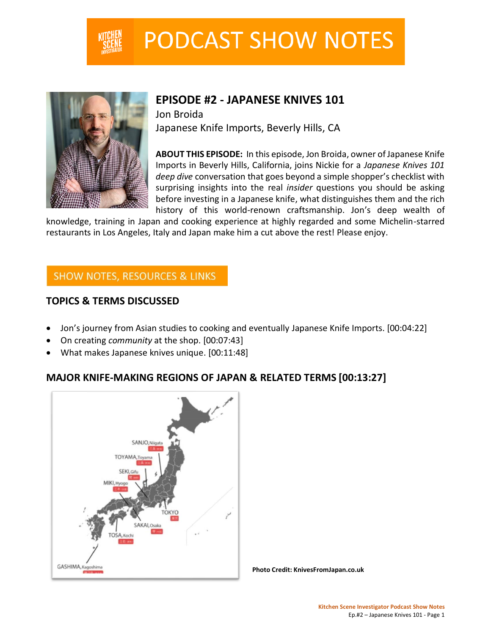

# **PODCAST SHOW NOTES**



# **EPISODE #2 - JAPANESE KNIVES 101**

Jon Broida Japanese Knife Imports, Beverly Hills, CA

**ABOUT THIS EPISODE:** In this episode, Jon Broida, owner of Japanese Knife Imports in Beverly Hills, California, joins Nickie for a *Japanese Knives 101 deep dive* conversation that goes beyond a simple shopper's checklist with surprising insights into the real *insider* questions you should be asking before investing in a Japanese knife, what distinguishes them and the rich history of this world-renown craftsmanship. Jon's deep wealth of

knowledge, training in Japan and cooking experience at highly regarded and some Michelin-starred restaurants in Los Angeles, Italy and Japan make him a cut above the rest! Please enjoy.

# **SHOW NOTES, RESOURCES & LINKS**

# **TOPICS & TERMS DISCUSSED**

- Jon's journey from Asian studies to cooking and eventually Japanese Knife Imports. [00:04:22]
- On creating *community* at the shop. [00:07:43]
- What makes Japanese knives unique. [00:11:48]

# **MAJOR KNIFE-MAKING REGIONS OF JAPAN & RELATED TERMS [00:13:27]**



**Photo Credit: KnivesFromJapan.co.uk**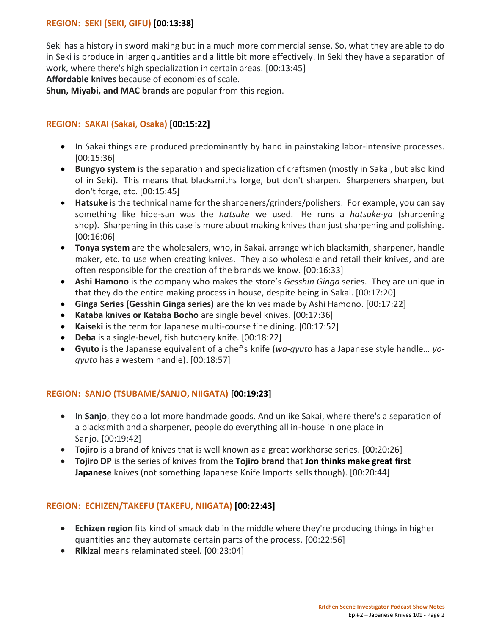## **REGION: SEKI (SEKI, GIFU) [00:13:38]**

Seki has a history in sword making but in a much more commercial sense. So, what they are able to do in Seki is produce in larger quantities and a little bit more effectively. In Seki they have a separation of work, where there's high specialization in certain areas. [00:13:45]

**Affordable knives** because of economies of scale.

**Shun, Miyabi, and MAC brands** are popular from this region.

### **REGION: SAKAI (Sakai, Osaka) [00:15:22]**

- In Sakai things are produced predominantly by hand in painstaking labor-intensive processes. [00:15:36]
- **Bungyo system** is the separation and specialization of craftsmen (mostly in Sakai, but also kind of in Seki). This means that blacksmiths forge, but don't sharpen. Sharpeners sharpen, but don't forge, etc. [00:15:45]
- **Hatsuke** is the technical name for the sharpeners/grinders/polishers. For example, you can say something like hide-san was the *hatsuke* we used. He runs a *hatsuke-ya* (sharpening shop). Sharpening in this case is more about making knives than just sharpening and polishing. [00:16:06]
- **Tonya system** are the wholesalers, who, in Sakai, arrange which blacksmith, sharpener, handle maker, etc. to use when creating knives. They also wholesale and retail their knives, and are often responsible for the creation of the brands we know. [00:16:33]
- **Ashi Hamono** is the company who makes the store's *Gesshin Ginga* series. They are unique in that they do the entire making process in house, despite being in Sakai. [00:17:20]
- **Ginga Series (Gesshin Ginga series)** are the knives made by Ashi Hamono. [00:17:22]
- **Kataba knives or Kataba Bocho** are single bevel knives. [00:17:36]
- **Kaiseki** is the term for Japanese multi-course fine dining. [00:17:52]
- **Deba** is a single-bevel, fish butchery knife. [00:18:22]
- **Gyuto** is the Japanese equivalent of a chef's knife (*wa-gyuto* has a Japanese style handle… *yogyuto* has a western handle). [00:18:57]

## **REGION: SANJO (TSUBAME/SANJO, NIIGATA) [00:19:23]**

- In **Sanjo**, they do a lot more handmade goods. And unlike Sakai, where there's a separation of a blacksmith and a sharpener, people do everything all in-house in one place in Sanjo. [00:19:42]
- **Tojiro** is a brand of knives that is well known as a great workhorse series. [00:20:26]
- **Tojiro DP** is the series of knives from the **Tojiro brand** that **Jon thinks make great first Japanese** knives (not something Japanese Knife Imports sells though). [00:20:44]

#### **REGION: ECHIZEN/TAKEFU (TAKEFU, NIIGATA) [00:22:43]**

- **Echizen region** fits kind of smack dab in the middle where they're producing things in higher quantities and they automate certain parts of the process. [00:22:56]
- **Rikizai** means relaminated steel. [00:23:04]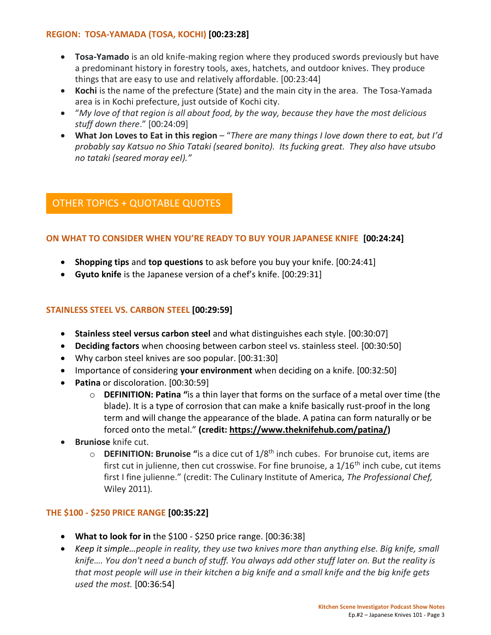## **REGION: TOSA-YAMADA (TOSA, KOCHI) [00:23:28]**

- **Tosa-Yamado** is an old knife-making region where they produced swords previously but have a predominant history in forestry tools, axes, hatchets, and outdoor knives. They produce things that are easy to use and relatively affordable. [00:23:44]
- **Kochi** is the name of the prefecture (State) and the main city in the area. The Tosa-Yamada area is in Kochi prefecture, just outside of Kochi city.
- "*My love of that region is all about food, by the way, because they have the most delicious stuff down there*." [00:24:09]
- **What Jon Loves to Eat in this region** "*There are many things I love down there to eat, but I'd probably say Katsuo no Shio Tataki (seared bonito). Its fucking great. They also have utsubo no tataki (seared moray eel)."*

# OTHER TOPICS + QUOTABLE QUOTES

# **ON WHAT TO CONSIDER WHEN YOU'RE READY TO BUY YOUR JAPANESE KNIFE [00:24:24]**

- **Shopping tips** and **top questions** to ask before you buy your knife. [00:24:41]
- **Gyuto knife** is the Japanese version of a chef's knife. [00:29:31]

## **STAINLESS STEEL VS. CARBON STEEL [00:29:59]**

- **Stainless steel versus carbon steel** and what distinguishes each style. [00:30:07]
- **Deciding factors** when choosing between carbon steel vs. stainless steel. [00:30:50]
- Why carbon steel knives are soo popular. [00:31:30]
- Importance of considering **your environment** when deciding on a knife. [00:32:50]
- **Patina** or discoloration. [00:30:59]
	- o **DEFINITION: Patina "**is a thin layer that forms on the surface of a metal over time (the blade). It is a type of corrosion that can make a knife basically rust-proof in the long term and will change the appearance of the blade. A patina can form naturally or be forced onto the metal." **(credit: [https://www.theknifehub.com/patina/\)](https://www.theknifehub.com/patina/)**
- **Bruniose** knife cut.
	- o **DEFINITION: Brunoise "**is a dice cut of 1/8th inch cubes. For brunoise cut, items are first cut in julienne, then cut crosswise. For fine brunoise, a  $1/16<sup>th</sup>$  inch cube, cut items first I fine julienne." (credit: The Culinary Institute of America*, The Professional Chef,*  Wiley 2011)*.*

## **THE \$100 - \$250 PRICE RANGE [00:35:22]**

- **What to look for in** the \$100 \$250 price range. [00:36:38]
- *Keep it simple…people in reality, they use two knives more than anything else. Big knife, small knife…. You don't need a bunch of stuff. You always add other stuff later on. But the reality is that most people will use in their kitchen a big knife and a small knife and the big knife gets used the most.* [00:36:54]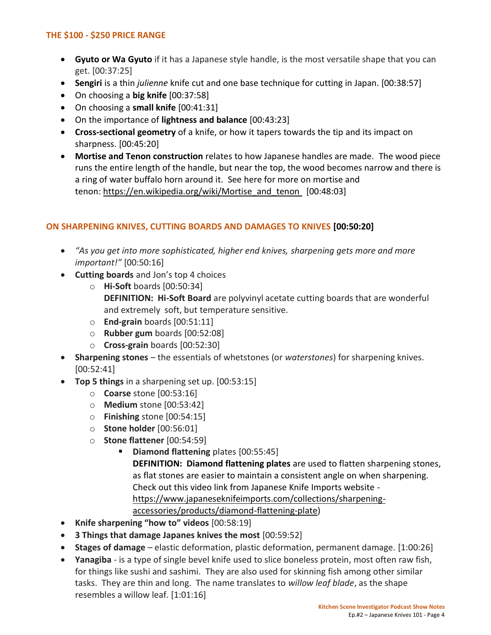## **THE \$100 - \$250 PRICE RANGE**

- **Gyuto or Wa Gyuto** if it has a Japanese style handle, is the most versatile shape that you can get. [00:37:25]
- **Sengiri** is a thin *julienne* knife cut and one base technique for cutting in Japan. [00:38:57]
- On choosing a **big knife** [00:37:58]
- On choosing a **small knife** [00:41:31]
- On the importance of **lightness and balance** [00:43:23]
- **Cross-sectional geometry** of a knife, or how it tapers towards the tip and its impact on sharpness. [00:45:20]
- **Mortise and Tenon construction** relates to how Japanese handles are made. The wood piece runs the entire length of the handle, but near the top, the wood becomes narrow and there is a ring of water buffalo horn around it. See here for more on mortise and tenon: [https://en.wikipedia.org/wiki/Mortise\\_and\\_tenon](https://en.wikipedia.org/wiki/Mortise_and_tenon) [00:48:03]

# **ON SHARPENING KNIVES, CUTTING BOARDS AND DAMAGES TO KNIVES [00:50:20]**

- *"As you get into more sophisticated, higher end knives, sharpening gets more and more important!"* [00:50:16]
- **Cutting boards** and Jon's top 4 choices
	- o **Hi-Soft** boards [00:50:34] **DEFINITION: Hi-Soft Board** are polyvinyl acetate cutting boards that are wonderful and extremely soft, but temperature sensitive.
	- o **End-grain** boards [00:51:11]
	- o **Rubber gum** boards [00:52:08]
	- o **Cross-grain** boards [00:52:30]
- **Sharpening stones** the essentials of whetstones (or *waterstones*) for sharpening knives. [00:52:41]
- **Top 5 things** in a sharpening set up. [00:53:15]
	- o **Coarse** stone [00:53:16]
	- o **Medium** stone [00:53:42]
	- o **Finishing** stone [00:54:15]
	- o **Stone holder** [00:56:01]
	- o **Stone flattener** [00:54:59]
		- **Diamond flattening** plates [00:55:45] **DEFINITION: Diamond flattening plates** are used to flatten sharpening stones, as flat stones are easier to maintain a consistent angle on when sharpening. Check out this video link from Japanese Knife Imports website [https://www.japaneseknifeimports.com/collections/sharpening](https://www.japaneseknifeimports.com/collections/sharpening-accessories/products/diamond-flattening-plate)[accessories/products/diamond-flattening-plate\)](https://www.japaneseknifeimports.com/collections/sharpening-accessories/products/diamond-flattening-plate)
- **Knife sharpening "how to" videos** [00:58:19]
- **3 Things that damage Japanes knives the most** [00:59:52]
- **Stages of damage** elastic deformation, plastic deformation, permanent damage. [1:00:26]
- **Yanagiba** is a type of single bevel knife used to slice boneless protein, most often raw fish, for things like sushi and sashimi. They are also used for skinning fish among other similar tasks. They are thin and long. The name translates to *willow leaf blade*, as the shape resembles a willow leaf. [1:01:16]